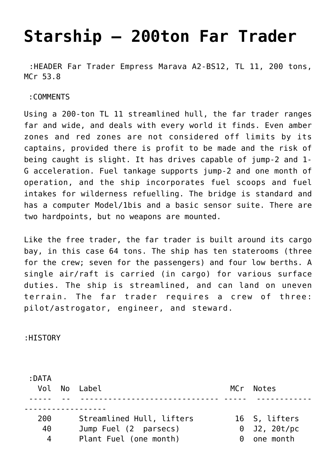## **[Starship – 200ton Far Trader](http://traveller.chromeblack.com/starship-200ton-far-trader/)**

 :HEADER Far Trader Empress Marava A2-BS12, TL 11, 200 tons, MCr 53.8

:COMMENTS

Using a 200-ton TL 11 streamlined hull, the far trader ranges far and wide, and deals with every world it finds. Even amber zones and red zones are not considered off limits by its captains, provided there is profit to be made and the risk of being caught is slight. It has drives capable of jump-2 and 1- G acceleration. Fuel tankage supports jump-2 and one month of operation, and the ship incorporates fuel scoops and fuel intakes for wilderness refuelling. The bridge is standard and has a computer Model/1bis and a basic sensor suite. There are two hardpoints, but no weapons are mounted.

Like the free trader, the far trader is built around its cargo bay, in this case 64 tons. The ship has ten staterooms (three for the crew; seven for the passengers) and four low berths. A single air/raft is carried (in cargo) for various surface duties. The ship is streamlined, and can land on uneven terrain. The far trader requires a crew of three: pilot/astrogator, engineer, and steward.

:HISTORY

 :DATA Vol No Label **MCr** Notes ----- -- ------------------------------ ----- ------------ ------------------ 200 Streamlined Hull, lifters 16 S, lifters 40 Jump Fuel (2 parsecs) 0 J2, 20t/pc 4 Plant Fuel (one month) 0 one month